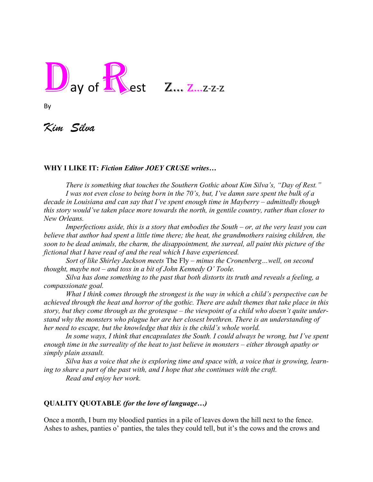

By

*Kim Silva*

## **WHY I LIKE IT:** *Fiction Editor JOEY CRUSE writes…*

 *There is something that touches the Southern Gothic about Kim Silva's, "Day of Rest." I was not even close to being born in the 70's, but, I've damn sure spent the bulk of a decade in Louisiana and can say that I've spent enough time in Mayberry – admittedly though this story would've taken place more towards the north, in gentile country, rather than closer to New Orleans.*

*Imperfections aside, this is a story that embodies the South – or, at the very least you can believe that author had spent a little time there; the heat, the grandmothers raising children, the soon to be dead animals, the charm, the disappointment, the surreal, all paint this picture of the fictional that I have read of and the real which I have experienced.*

*Sort of like Shirley Jackson meets* The Fly *– minus the Cronenberg…well, on second thought, maybe not – and toss in a bit of John Kennedy O' Toole.* 

*Silva has done something to the past that both distorts its truth and reveals a feeling, a compassionate goal.*

*What I think comes through the strongest is the way in which a child's perspective can be achieved through the heat and horror of the gothic. There are adult themes that take place in this story, but they come through as the grotesque – the viewpoint of a child who doesn't quite understand why the monsters who plague her are her closest brethren. There is an understanding of her need to escape, but the knowledge that this is the child's whole world.*

In some ways, I think that encapsulates the South. I could always be wrong, but I've spent *enough time in the surreality of the heat to just believe in monsters – either through apathy or simply plain assault.*

*Silva has a voice that she is exploring time and space with, a voice that is growing, learning to share a part of the past with, and I hope that she continues with the craft. Read and enjoy her work.* 

## **QUALITY QUOTABLE** *(for the love of language…)*

Once a month, I burn my bloodied panties in a pile of leaves down the hill next to the fence. Ashes to ashes, panties o' panties, the tales they could tell, but it's the cows and the crows and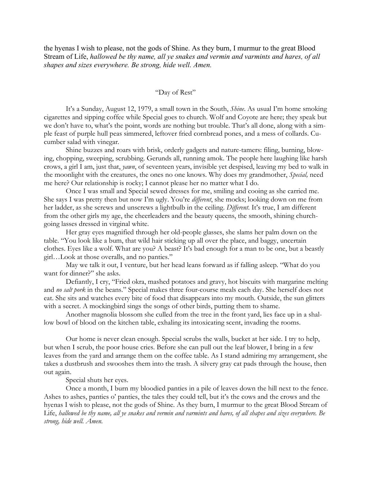the hyenas I wish to please, not the gods of Shine. As they burn, I murmur to the great Blood Stream of Life, *hallowed be thy name, all ye snakes and vermin and varmints and hares, of all shapes and sizes everywhere. Be strong, hide well. Amen.*

## "Day of Rest"

It's a Sunday, August 12, 1979, a small town in the South, *Shine*. As usual I'm home smoking cigarettes and sipping coffee while Special goes to church. Wolf and Coyote are here; they speak but we don't have to, what's the point, words are nothing but trouble. That's all done, along with a simple feast of purple hull peas simmered, leftover fried cornbread pones, and a mess of collards. Cucumber salad with vinegar.

Shine buzzes and roars with brisk, orderly gadgets and nature-tamers: filing, burning, blowing, chopping, sweeping, scrubbing. Gerunds all, running amok. The people here laughing like harsh crows, a girl I am, just that, *yawn*, of seventeen years, invisible yet despised, leaving my bed to walk in the moonlight with the creatures, the ones no one knows. Why does my grandmother, *Special,* need me here? Our relationship is rocky; I cannot please her no matter what I do.

Once I was small and Special sewed dresses for me, smiling and cooing as she carried me. She says I was pretty then but now I'm ugly. You're *different*, she mocks; looking down on me from her ladder, as she screws and unscrews a lightbulb in the ceiling. *Different*. It's true, I am different from the other girls my age, the cheerleaders and the beauty queens, the smooth, shining churchgoing lasses dressed in virginal white.

Her gray eyes magnified through her old-people glasses, she slams her palm down on the table. "You look like a bum, that wild hair sticking up all over the place, and baggy, uncertain clothes. Eyes like a wolf. What are you? A beast? It's bad enough for a man to be one, but a beastly girl…Look at those overalls, and no panties."

May we talk it out, I venture, but her head leans forward as if falling asleep. "What do you want for dinner?" she asks.

Defiantly, I cry, "Fried okra, mashed potatoes and gravy, hot biscuits with margarine melting and *no salt pork* in the beans." Special makes three four-course meals each day. She herself does not eat. She sits and watches every bite of food that disappears into my mouth. Outside, the sun glitters with a secret. A mockingbird sings the songs of other birds, putting them to shame.

Another magnolia blossom she culled from the tree in the front yard, lies face up in a shallow bowl of blood on the kitchen table, exhaling its intoxicating scent, invading the rooms.

Our home is never clean enough. Special scrubs the walls, bucket at her side. I try to help, but when I scrub, the poor house cries. Before she can pull out the leaf blower, I bring in a few leaves from the yard and arrange them on the coffee table. As I stand admiring my arrangement, she takes a dustbrush and swooshes them into the trash. A silvery gray cat pads through the house, then out again.

Special shuts her eyes.

Once a month, I burn my bloodied panties in a pile of leaves down the hill next to the fence. Ashes to ashes, panties o' panties, the tales they could tell, but it's the cows and the crows and the hyenas I wish to please, not the gods of Shine. As they burn, I murmur to the great Blood Stream of Life, hallowed be thy name, all ye snakes and vermin and varmints and hares, of all shapes and sizes everywhere. Be *strong, hide well. Amen.*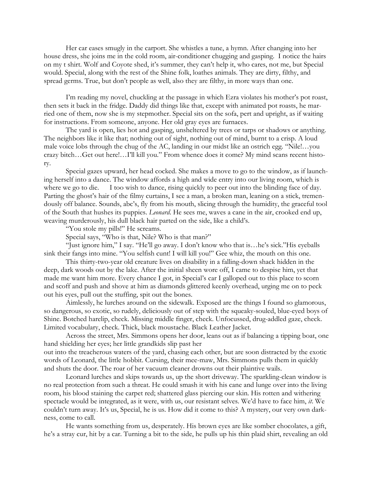Her car eases smugly in the carport. She whistles a tune, a hymn. After changing into her house dress, she joins me in the cold room, air-conditioner chugging and gasping. I notice the hairs on my t shirt. Wolf and Coyote shed, it's summer, they can't help it, who cares, not me, but Special would. Special, along with the rest of the Shine folk, loathes animals. They are dirty, filthy, and spread germs. True, but don't people as well, also they are filthy, in more ways than one.

I'm reading my novel, chuckling at the passage in which Ezra violates his mother's pot roast, then sets it back in the fridge. Daddy did things like that, except with animated pot roasts, he married one of them, now she is my stepmother. Special sits on the sofa, pert and upright, as if waiting for instructions. From someone, anyone. Her old gray eyes are furnaces.

The yard is open, lies hot and gasping, unsheltered by trees or tarps or shadows or anything. The neighbors like it like that; nothing out of sight, nothing out of mind, burnt to a crisp. A loud male voice lobs through the chug of the AC, landing in our midst like an ostrich egg. "Nile!…you crazy bitch…Get out here!…I'll kill you." From whence does it come? My mind scans recent history.

Special gazes upward, her head cocked. She makes a move to go to the window, as if launching herself into a dance. The window affords a high and wide entry into our living room, which is where we go to die. I too wish to dance, rising quickly to peer out into the blinding face of day. Parting the ghost's hair of the filmy curtains, I see a man, a broken man, leaning on a stick, tremendously off balance. Sounds, abc's, fly from his mouth, slicing through the humidity, the graceful tool of the South that hushes its puppies. *Leonard*. He sees me, waves a cane in the air, crooked end up, weaving murderously, his dull black hair parted on the side, like a child's.

"You stole my pills!" He screams.

Special says, "Who is that, Nile? Who is that man?"

"Just ignore him," I say. "He'll go away. I don't know who that is…he's sick."His eyeballs sink their fangs into mine. "You selfish cunt! I will kill you!" Gee whiz, the mouth on this one.

This thirty-two-year old creature lives on disability in a falling-down shack hidden in the deep, dark woods out by the lake. After the initial sheen wore off, I came to despise him, yet that made me want him more. Every chance I got, in Special's car I galloped out to this place to scorn and scoff and push and shove at him as diamonds glittered keenly overhead, urging me on to peck out his eyes, pull out the stuffing, spit out the bones.

Aimlessly, he lurches around on the sidewalk. Exposed are the things I found so glamorous, so dangerous, so exotic, so rudely, deliciously out of step with the squeaky-souled, blue-eyed boys of Shine. Botched harelip, check. Missing middle finger, check. Unfocussed, drug-addled gaze, check. Limited vocabulary, check. Thick, black moustache. Black Leather Jacket.

Across the street, Mrs. Simmons opens her door, leans out as if balancing a tipping boat, one hand shielding her eyes; her little grandkids slip past her out into the treacherous waters of the yard, chasing each other, but are soon distracted by the exotic words of Leonard, the little hobbit. Cursing, their mee-maw, Mrs. Simmons pulls them in quickly and shuts the door. The roar of her vacuum cleaner drowns out their plaintive wails.

Leonard lurches and skips towards us, up the short driveway. The sparkling-clean window is no real protection from such a threat. He could smash it with his cane and lunge over into the living room, his blood staining the carpet red; shattered glass piercing our skin. His rotten and withering spectacle would be integrated, as it were, with us, our resistant selves. We'd have to face him, *it*. We couldn't turn away. It's us, Special, he is us. How did it come to this? A mystery, our very own darkness, come to call.

He wants something from us, desperately. His brown eyes are like somber chocolates, a gift, he's a stray cur, hit by a car. Turning a bit to the side, he pulls up his thin plaid shirt, revealing an old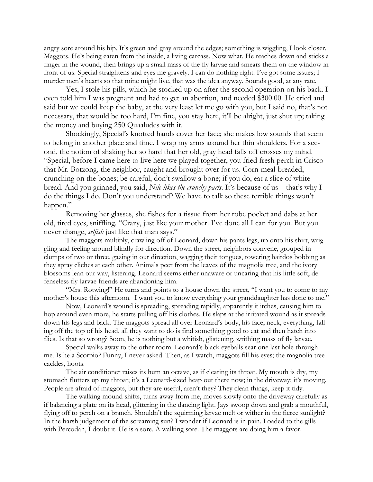angry sore around his hip. It's green and gray around the edges; something is wiggling, I look closer. Maggots. He's being eaten from the inside, a living carcass. Now what. He reaches down and sticks a finger in the wound, then brings up a small mass of the fly larvae and smears them on the window in front of us. Special straightens and eyes me gravely. I can do nothing right. I've got some issues; I murder men's hearts so that mine might live, that was the idea anyway. Sounds good, at any rate.

Yes, I stole his pills, which he stocked up on after the second operation on his back. I even told him I was pregnant and had to get an abortion, and needed \$300.00. He cried and said but we could keep the baby, at the very least let me go with you, but I said no, that's not necessary, that would be too hard, I'm fine, you stay here, it'll be alright, just shut up; taking the money and buying 250 Quaaludes with it.

Shockingly, Special's knotted hands cover her face; she makes low sounds that seem to belong in another place and time. I wrap my arms around her thin shoulders. For a second, the notion of shaking her so hard that her old, gray head falls off crosses my mind. "Special, before I came here to live here we played together, you fried fresh perch in Crisco that Mr. Botzong, the neighbor, caught and brought over for us. Corn-meal-breaded, crunching on the bones; be careful, don't swallow a bone; if you do, eat a slice of white bread. And you grinned, you said, *Nile likes the crunchy parts*. It's because of us—that's why I do the things I do. Don't you understand? We have to talk so these terrible things won't happen."

Removing her glasses, she fishes for a tissue from her robe pocket and dabs at her old, tired eyes, sniffling. "Crazy, just like your mother. I've done all I can for you. But you never change, *selfish* just like that man says."

The maggots multiply, crawling off of Leonard, down his pants legs, up onto his shirt, wriggling and feeling around blindly for direction. Down the street, neighbors convene, grouped in clumps of two or three, gazing in our direction, wagging their tongues, towering hairdos bobbing as they spray cliches at each other. Animals peer from the leaves of the magnolia tree, and the ivory blossoms lean our way, listening. Leonard seems either unaware or uncaring that his little soft, defenseless fly-larvae friends are abandoning him.

"Mrs. Rotwing!" He turns and points to a house down the street, "I want you to come to my mother's house this afternoon. I want you to know everything your granddaughter has done to me."

Now, Leonard's wound is spreading, spreading rapidly, apparently it itches, causing him to hop around even more, he starts pulling off his clothes. He slaps at the irritated wound as it spreads down his legs and back. The maggots spread all over Leonard's body, his face, neck, everything, falling off the top of his head, all they want to do is find something good to eat and then hatch into flies. Is that so wrong? Soon, he is nothing but a whitish, glistening, writhing mass of fly larvae.

Special walks away to the other room. Leonard's black eyeballs sear one last hole through me. Is he a Scorpio? Funny, I never asked. Then, as I watch, maggots fill his eyes; the magnolia tree cackles, hoots.

The air conditioner raises its hum an octave, as if clearing its throat. My mouth is dry, my stomach flutters up my throat; it's a Leonard-sized heap out there now; in the driveway; it's moving. People are afraid of maggots, but they are useful, aren't they? They clean things, keep it tidy.

The walking mound shifts, turns away from me, moves slowly onto the driveway carefully as if balancing a plate on its head, glittering in the dancing light. Jays swoop down and grab a mouthful, flying off to perch on a branch. Shouldn't the squirming larvae melt or wither in the fierce sunlight? In the harsh judgement of the screaming sun? I wonder if Leonard is in pain. Loaded to the gills with Percodan, I doubt it. He is a sore. A walking sore. The maggots are doing him a favor.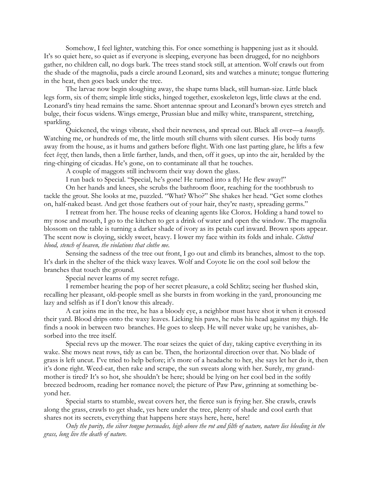Somehow, I feel lighter, watching this. For once something is happening just as it should. It's so quiet here, so quiet as if everyone is sleeping, everyone has been drugged, for no neighbors gather, no children call, no dogs bark. The trees stand stock still, at attention. Wolf crawls out from the shade of the magnolia, pads a circle around Leonard, sits and watches a minute; tongue fluttering in the heat, then goes back under the tree.

The larvae now begin sloughing away, the shape turns black, still human-size. Little black legs form, six of them; simple little sticks, hinged together, exoskeleton legs, little claws at the end. Leonard's tiny head remains the same. Short antennae sprout and Leonard's brown eyes stretch and bulge, their focus widens. Wings emerge, Prussian blue and milky white, transparent, stretching, sparkling.

Quickened, the wings vibrate, shed their newness, and spread out. Black all over—a *housefly*. Watching me, or hundreds of me, the little mouth still churns with silent curses. His body turns away from the house, as it hums and gathers before flight. With one last parting glare, he lifts a few feet *bzzt*, then lands, then a little farther, lands, and then, off it goes, up into the air, heralded by the ring-chinging of cicadas. He's gone, on to contaminate all that he touches.

A couple of maggots still inchworm their way down the glass.

I run back to Special. "Special, he's gone! He turned into a fly! He flew away!"

On her hands and knees, she scrubs the bathroom floor, reaching for the toothbrush to tackle the grout. She looks at me, puzzled. "What? Who?" She shakes her head. "Get some clothes on, half-naked beast. And get those feathers out of your hair, they're nasty, spreading germs."

I retreat from her. The house reeks of cleaning agents like Clorox. Holding a hand towel to my nose and mouth, I go to the kitchen to get a drink of water and open the window. The magnolia blossom on the table is turning a darker shade of ivory as its petals curl inward. Brown spots appear. The scent now is cloying, sickly sweet, heavy. I lower my face within its folds and inhale. *Clotted blood, stench of heaven, the violations that clothe me*.

Sensing the sadness of the tree out front, I go out and climb its branches, almost to the top. It's dark in the shelter of the thick waxy leaves. Wolf and Coyote lie on the cool soil below the branches that touch the ground.

Special never learns of my secret refuge.

I remember hearing the pop of her secret pleasure, a cold Schlitz; seeing her flushed skin, recalling her pleasant, old-people smell as she bursts in from working in the yard, pronouncing me lazy and selfish as if I don't know this already.

A cat joins me in the tree, he has a bloody eye, a neighbor must have shot it when it crossed their yard. Blood drips onto the waxy leaves. Licking his paws, he rubs his head against my thigh. He finds a nook in between two branches. He goes to sleep. He will never wake up; he vanishes, absorbed into the tree itself.

Special revs up the mower. The roar seizes the quiet of day, taking captive everything in its wake. She mows neat rows, tidy as can be. Then, the horizontal direction over that. No blade of grass is left uncut. I've tried to help before; it's more of a headache to her, she says let her do it, then it's done right. Weed-eat, then rake and scrape, the sun sweats along with her. Surely, my grandmother is tired? It's so hot, she shouldn't be here; should be lying on her cool bed in the softly breezed bedroom, reading her romance novel; the picture of Paw Paw, grinning at something beyond her.

Special starts to stumble, sweat covers her, the fierce sun is frying her. She crawls, crawls along the grass, crawls to get shade, yes here under the tree, plenty of shade and cool earth that shares not its secrets, everything that happens here stays here, here, here!

Only the purity, the silver tongue persuades, high above the rot and filth of nature, nature lies bleeding in the *grass, long live the death of nature.*